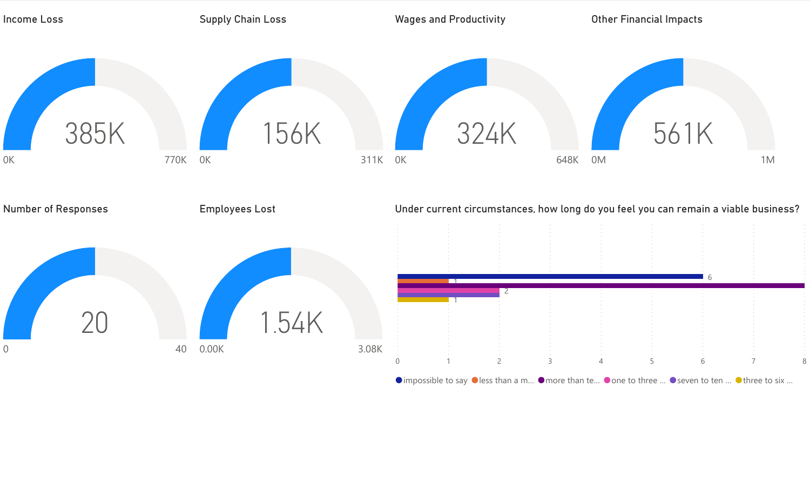

 $\bullet$  impossible to say  $\bullet$  less than a m...  $\bullet$  more than te...  $\bullet$  one to three ...  $\bullet$  seven to ten ...  $\bullet$  three to six ...